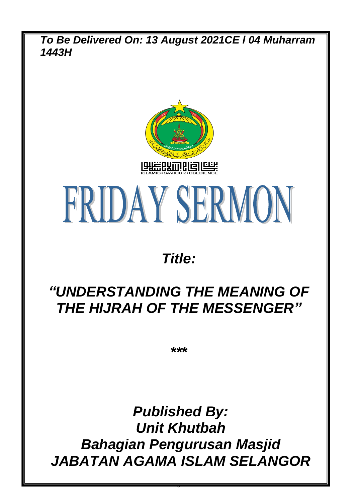*To Be Delivered On: 13 August 2021CE l 04 Muharram 1443H*



# FRIDAY SERMON

## *Title:*

## *"UNDERSTANDING THE MEANING OF THE HIJRAH OF THE MESSENGER"*

*\*\*\**

*Published By: Unit Khutbah Bahagian Pengurusan Masjid JABATAN AGAMA ISLAM SELANGOR*

0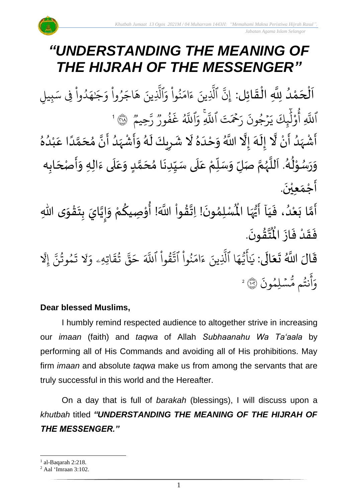## *"UNDERSTANDING THE MEANING OF THE HIJRAH OF THE MESSENGER"*

.<br>با ن<br>د اَلْحَمْدُ لِلَّهِ الْقَائِل: إِنَّ ٱلَّذِينَ ءَامَنُواْ وَٱلَّذِينَ هَاجَرُواْ وَجَنهَدُواْ فِى سَبِيلِ و<br>ا **ٔ**  $\overline{\phantom{a}}$ ֦֧֦֧֦֧֦֧֦֧֦֧֦֧֜֜֜֜֓֓<br>**֡**  $\overline{\phantom{a}}$  $\frac{1}{2}$ ْ ِ<br>م دُوا فِي سَـ **ٔ** و<br>ا ِ<br>م .<br>وُجَـٰهَ َٰ رُوا وَ ؙ<br>
<sup>ٔ</sup> ُو  $\tilde{\phantom{a}}$ اج  $\tilde{\lambda}$ لَّذِينَ هَ اِلْذِ َ<br>َء نُوا وَا **ٔ** ُو<br>و  $\frac{1}{2}$ ام  $\tilde{\epsilon}$ ء ِينَ َّ الَّذِ ِ<br>پَ إِن وو<br>م ِ<br>حيم ِ<br>پن ¤<br>ز′ وو<br>د ءَ<br>فور و<br>و  $\ddot{\cdot}$ غ ِ<br>آھ اِللَّهُ ِ<br>ہ ِِۚ و بہ<br>ا حۡمَتَ ٱللَّهِ ِ<br>جُ ِ<br>ا ر  $\ddot{\cdot}$ رۡجُونَ ر<br>م  $\ddot{\phantom{0}}$  $\tilde{\cdot}$ ي ِكَ ئ ِرِ<br>ا ل و ِ أ ْ و<br>م بر<br>آ أَللَّهِ أَوْلَٰٓإِكَ يَرۡجُونَ رَحۡمَتَ أَللَّهِ وَأَللَّهُ غَفُورٌ رَّحِيمٌ ۚ ۞ ۚ ۚ ْ ر<br>أَشْہَدُ أَنْ لَّا إِلَهَ إِلَّا اللَّهُ وَحْدَهُ لَا شَرِيكَ لَهُ وَأَشْہَدُ أَنَّ مُحَمَّدًا عَبْدُهُ ़<br>इ و<br>و َ<br>زاد ؗ<br>; َ<br>پنج ہ<br>ا ر<br>ر  $\frac{1}{\epsilon}$  $\frac{1}{2}$ ہ<br>ا  $\frac{2}{\lambda}$ َ  $\frac{1}{2}$ ً<br>ا ،<br>پر ر<br>م  $\overline{\phantom{a}}$  $\overline{\phantom{a}}$ ِ<br>ٌ  $\frac{1}{\sqrt{2}}$ ំ<br>រ ِ<br>م ً<br>ا ั<br>ด  $\frac{1}{2}$ َ  $\ddot{\phantom{0}}$ ِ<br>ُ' َ<br>زار ْ ׀<br>׆  $\frac{1}{2}$ وَرَسُوْلُهُ. اَللَّهُمَّ صَلِّ وَسَلِّمْ عَلَى سَيِّدِنَا مُحَمَّدٍ وَعَلَى ءَالِهِ وَأَصْحَابِه ์<br>ผู้  $\frac{1}{2}$  $\frac{1}{2}$ ্য<br>ক و<br>ر<br>ر ً<br>آ َ و<br>گ ٍ<br>پ ់<br>្ و<br>در  $\frac{1}{2}$  $\frac{1}{2}$ َ<br>آ .<br>م  $\frac{1}{2}$ <u>لم</u> ี<br>ส ُ<br>ጎ .<br>.<br>. ِّ  $\frac{1}{2}$  $\frac{1}{2}$ ً<br>آ .<br>م  $\frac{1}{2}$  $\frac{1}{2}$  $\overline{\phantom{a}}$  $\ddot{\phantom{0}}$  $\tilde{\cdot}$  $\ddot{\phantom{0}}$ أَجْمَعِيْنَ. ់<br>**រ**  $\frac{1}{2}$  $\frac{1}{2}$ ِّ<br>أَمَّا بَعْدُ، فَيَا أَيُّهَا الْمُسْلِمُونَ! اِتَّقُواْ اللَّهَ! أُوْصِيكُمْ وَإِيَّايَ بِتَقْوَى اللَّهِ َ  $\ddot{\cdot}$ و<br>و ់<br>រ  $\ddot{\cdot}$ ี<br>วั  $\frac{1}{2}$  $\ddot{\mathbf{z}}$  $\frac{1}{2}$ ់<br>:  $\ddot{\phantom{0}}$  $\frac{1}{2}$ َ !<br>-<br>- $\frac{1}{2}$ <u>و</u> ֦֧֦֦֧֝<u>֦</u> ِ<br>م ់<br>ព្ **ہیں** لة<br>\*  $\ddot{\phantom{0}}$ ُ<br>አ يُّهَا الْمُسْلِمُونَ! اِتَّقُواْ اللَّهَ! أَوْصِيكُمْ وَإِيَّايَ بِتَقْوَى اللَّهِ ِ<br>اس ار<br>•<br>• . .<br>∙ ؾڤؤنَ **ہے** ِ<br>ایہ ُْ فَقَدْ فَازَ الْمُ  $\ddot{\cdot}$  $\ddot{\cdot}$ **ّ**  $\ddot{\tilde{}}$  $\ddot{\cdot}$ ً<br>ا  $\frac{1}{2}$  $\ddot{\mathbf{r}}$ ِ<br>ج ْ **ٔ**  $\ddot{\phantom{0}}$ ِ<br>الأ

قَالَ اللَّهُ تَعَالَى: يَاََّيُّهَا  $\frac{1}{2}$ ه و<br>د سَ<br>ڊ  $\overline{\phantom{a}}$ َٰ ِ .<br>يَاَّيُّهَا ٱلَّذِينَ لَّذِينَ ءَامَنُوا ُو<br>په ِ ام ्<br>द ءَامَنُوا اتَّقُوا ور ِ<br>په تَّقَوا ا ِ<br>آک َللَّهَ حَقُّ تُقَاتِهِ  $\ddot{\Omega}$ ق ت و<br>په ِ<br>په قی  $\tilde{\phantom{a}}$ حَقَّ تَقَاتِهِۦ  $\frac{1}{\alpha}$ وَلَا تَمُوثُنَّ إِ مُوتَنَّ و<br>په و  $\ddot{\cdot}$ تَمُوتُنَّ إِلَّا  $\ddot{\cdot}$ ر<br>مُّسۡلِمُونَ و نتُم مَّ و<br>په ِ<br>ج أ ر<br>م وَانْتُم مُّسۡلِمُونَ ۞ ۚ

#### **Dear blessed Muslims,**

I humbly remind respected audience to altogether strive in increasing our *imaan* (faith) and *taqwa* of Allah *Subhaanahu Wa Ta'aala* by performing all of His Commands and avoiding all of His prohibitions. May firm *imaan* and absolute *taqwa* make us from among the servants that are truly successful in this world and the Hereafter.

On a day that is full of *barakah* (blessings), I will discuss upon a *khutbah* titled *"UNDERSTANDING THE MEANING OF THE HIJRAH OF THE MESSENGER."*

 $<sup>1</sup>$  al-Baqarah 2:218.</sup>

<sup>2</sup> Aal 'Imraan 3:102.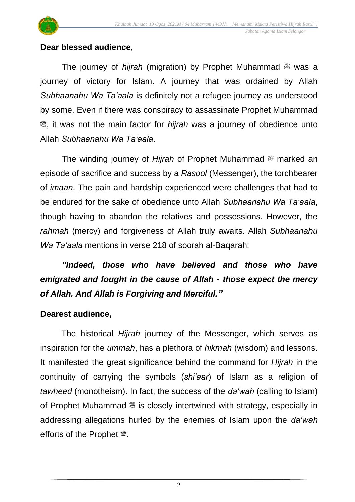

#### **Dear blessed audience,**

The journey of *hijrah* (migration) by Prophet Muhammad  $\ddot{\mathcal{E}}$  was a journey of victory for Islam. A journey that was ordained by Allah *Subhaanahu Wa Ta'aala* is definitely not a refugee journey as understood by some. Even if there was conspiracy to assassinate Prophet Muhammad  $**$ , it was not the main factor for *hijrah* was a journey of obedience unto Allah *Subhaanahu Wa Ta'aala*.

The winding journey of *Hijrah* of Prophet Muhammad  $\equiv$  marked an episode of sacrifice and success by a *Rasool* (Messenger), the torchbearer of *imaan*. The pain and hardship experienced were challenges that had to be endured for the sake of obedience unto Allah *Subhaanahu Wa Ta'aala*, though having to abandon the relatives and possessions. However, the *rahmah* (mercy) and forgiveness of Allah truly awaits. Allah *Subhaanahu Wa Ta'aala* mentions in verse 218 of soorah al-Baqarah:

### *"Indeed, those who have believed and those who have emigrated and fought in the cause of Allah - those expect the mercy of Allah. And Allah is Forgiving and Merciful."*

#### **Dearest audience,**

The historical *Hijrah* journey of the Messenger, which serves as inspiration for the *ummah*, has a plethora of *hikmah* (wisdom) and lessons. It manifested the great significance behind the command for *Hijrah* in the continuity of carrying the symbols (*shi'aar*) of Islam as a religion of *tawheed* (monotheism). In fact, the success of the *da'wah* (calling to Islam) of Prophet Muhammad  $\frac{40}{3}$  is closely intertwined with strategy, especially in addressing allegations hurled by the enemies of Islam upon the *da'wah* efforts of the Prophet  $\ddot{\mathcal{F}}$ .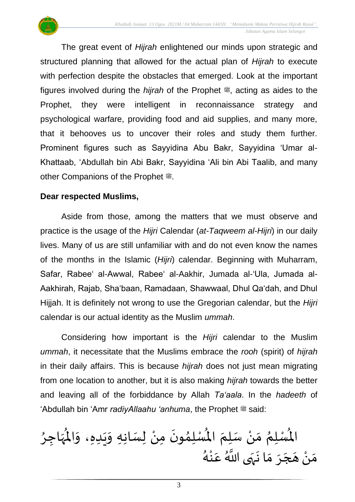The great event of *Hijrah* enlightened our minds upon strategic and structured planning that allowed for the actual plan of *Hijrah* to execute with perfection despite the obstacles that emerged. Look at the important figures involved during the *hijrah* of the Prophet  $\ddot{\mathcal{E}}$ , acting as aides to the Prophet, they were intelligent in reconnaissance strategy and psychological warfare, providing food and aid supplies, and many more, that it behooves us to uncover their roles and study them further. Prominent figures such as Sayyidina Abu Bakr, Sayyidina 'Umar al-Khattaab, 'Abdullah bin Abi Bakr, Sayyidina 'Ali bin Abi Taalib, and many other Companions of the Prophet  $\ddot{\mathcal{F}}$ .

#### **Dear respected Muslims,**

Aside from those, among the matters that we must observe and practice is the usage of the *Hijri* Calendar (*at-Taqweem al-Hijri*) in our daily lives. Many of us are still unfamiliar with and do not even know the names of the months in the Islamic (*Hijri*) calendar. Beginning with Muharram, Safar, Rabee' al-Awwal, Rabee' al-Aakhir, Jumada al-'Ula, Jumada al-Aakhirah, Rajab, Sha'baan, Ramadaan, Shawwaal, Dhul Qa'dah, and Dhul Hijjah. It is definitely not wrong to use the Gregorian calendar, but the *Hijri* calendar is our actual identity as the Muslim *ummah*.

Considering how important is the *Hijri* calendar to the Muslim *ummah*, it necessitate that the Muslims embrace the *rooh* (spirit) of *hijrah* in their daily affairs. This is because *hijrah* does not just mean migrating from one location to another, but it is also making *hijrah* towards the better and leaving all of the forbiddance by Allah *Ta'aala*. In the *hadeeth* of 'Abdullah bin 'Amr *radiyAllaahu 'anhuma*, the Prophet  $\stackrel{\text{{\tiny def}}}{=}$  said:

ٍ<br>∕\* الْمُسْلِمُ مَنْ سَلِمَ الْمُسْلِمُونَ مِنْ لِسَانِهِ وَيَدِهِ، وَالْمُهَاجِرُ  $\mathbf{r}$  $\ddot{\phantom{0}}$  $\frac{1}{2}$ ំ<br>•  $\ddot{\phantom{0}}$ )<br>ለ  $\mathbf{r}$  $\frac{1}{2}$ ْ  $\frac{1}{2}$ ر<br>د ِ<br>پر  $\mathbf{r}$  $\frac{1}{2}$ ا<br>م مستعدا من منها من الله عنه.<br>مَنْ هَجَرَ مَا نَهَى اللَّهُ عَنْهُ .<br>م ر<br>-<br>. ।<br>;  $\frac{1}{2}$  $\frac{1}{2}$ ्<br>। َ ំ<br>•  $\frac{1}{2}$ ँ<br>अ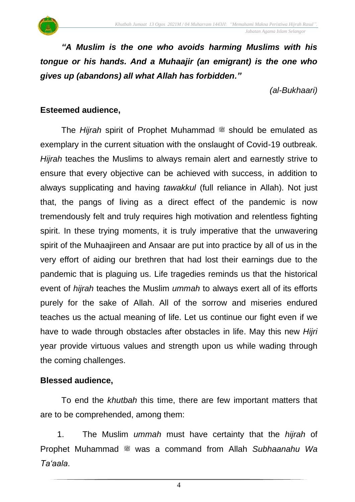*"A Muslim is the one who avoids harming Muslims with his tongue or his hands. And a Muhaajir (an emigrant) is the one who gives up (abandons) all what Allah has forbidden."*

*(al-Bukhaari)*

#### **Esteemed audience,**

The *Hijrah* spirit of Prophet Muhammad  $\ddot{\mathcal{E}}$  should be emulated as exemplary in the current situation with the onslaught of Covid-19 outbreak. *Hijrah* teaches the Muslims to always remain alert and earnestly strive to ensure that every objective can be achieved with success, in addition to always supplicating and having *tawakkul* (full reliance in Allah). Not just that, the pangs of living as a direct effect of the pandemic is now tremendously felt and truly requires high motivation and relentless fighting spirit. In these trying moments, it is truly imperative that the unwavering spirit of the Muhaajireen and Ansaar are put into practice by all of us in the very effort of aiding our brethren that had lost their earnings due to the pandemic that is plaguing us. Life tragedies reminds us that the historical event of *hijrah* teaches the Muslim *ummah* to always exert all of its efforts purely for the sake of Allah. All of the sorrow and miseries endured teaches us the actual meaning of life. Let us continue our fight even if we have to wade through obstacles after obstacles in life. May this new *Hijri* year provide virtuous values and strength upon us while wading through the coming challenges.

#### **Blessed audience,**

To end the *khutbah* this time, there are few important matters that are to be comprehended, among them:

1. The Muslim *ummah* must have certainty that the *hijrah* of Prophet Muhammad <sup>26</sup> was a command from Allah *Subhaanahu Wa Ta'aala*.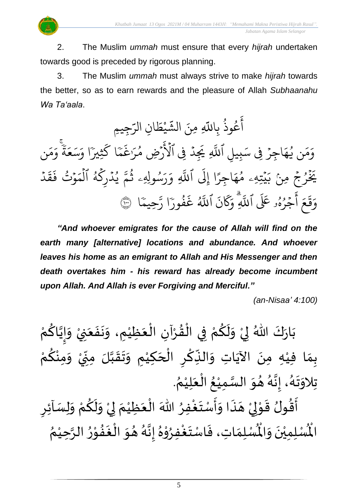2. The Muslim *ummah* must ensure that every *hijrah* undertaken towards good is preceded by rigorous planning.

3. The Muslim *ummah* must always strive to make *hijrah* towards the better, so as to earn rewards and the pleasure of Allah *Subhaanahu Wa Ta'aala*.

ِن ال ا  $\tilde{\phantom{a}}$ ط ي **ٔ** مه<br>شه عُوذُ بِاللَّهِ مِنَ الشَّ و<br>په و<br>م ِ<br>ج آعُوذُ بِاللَّهِ مِنَ الشَّيْطَانِ الرَّجِيمِ ِ<br>س س<br>مر ن ِ<br>م ر<br>م  $\frac{1}{\alpha}$ و ٗ ة  $\frac{1}{2}$ ع ِ<br>س سر<br>سد  $\frac{1}{\alpha}$ ر<br>كَثِيرًا وَ ا ك ֦֞<br>֝֝֝֝֝֝ بر<br>ح  $\ddot{\cdot}$ رُغَ رُضِ مُرَ و<br>م َ<br>د ځ ِِف ٱۡل ِد ہ<br>ا ِ ِ َي بر<br>آ بِيلِ اللَّهِ ِ<br>س اجِرَ فِی سَہ  $\ddot{\phantom{0}}$  $\frac{1}{4}$ ن يُمَجَ ر<br>د  $\frac{1}{2}$ بر<br>م  $\frac{1}{c}$ و ہ<br>ا د<br>د  $\ddot{\mathbf{r}}$ ق  $\tilde{\cdot}$ ف ت و و<br>مو  $\ddot{\phantom{0}}$  $\frac{1}{2}$ يُدْرِكَهُ الْمَ ہ<br>1 و<br>لم ر<br>م ہ<br>ا ُو ى<br>م سُولِهِۦ ثُمَّ و<br>په و<br>م ِ ر<br><u>ر</u>  $\frac{1}{\alpha}$ ِ و بہ<br>ا اللَّهِ ر<br>1 َِل ا إ ً<br>م اجِرًا  $\frac{1}{4}$ يۡتِهِۦ مُهَ و<br>م  $\ddot{\phantom{0}}$ و جُ مِنْ بَر ؚ<br>ۣ<br><del>؞</del> ُ بر<br>مز یَزَ ِ<br>پن ا رَّ ֦֧<br>֧֦֧֝֝ فُورَ و<br>و  $\ddot{\cdot}$ غ ِ<br>آھ<br>آھ اللَّهُ  $\ddot{\cdot}$ ن ر<br>م  $\overline{\mathcal{R}}$ ِ<br>م ِ وََ ِ<br>آ جُرُهُو عَلَى ٱللَّهِ و<br>م ُو  $\frac{1}{2}$ )<br>ج أ  $\frac{1}{2}$ ع  $\ddot{\Omega}$ ق ِ<br>م وَقَعَ أَجْرُهُو عَلَى اللَّهِ وَكَانَ اللَّهُ غَفَورًا رَّحِيمًا  $\frac{1}{\sqrt{2}}$ حِيمًا ۞

*"And whoever emigrates for the cause of Allah will find on the earth many [alternative] locations and abundance. And whoever leaves his home as an emigrant to Allah and His Messenger and then death overtakes him - his reward has already become incumbent upon Allah. And Allah is ever Forgiving and Merciful."*

*(an-Nisaa' 4:100)*

ْ بَارَكَ اللّهُ لِيْ وَلَكُمْ فِي الْقُرْآنِ الْعَظِيْمِ، وَنَفَعَنِيْ وَإِيَّاكُمْ َ  $\frac{1}{2}$  $\ddot{\phantom{0}}$  $\tilde{\cdot}$ ْ  $\frac{1}{2}$ ֦֧֦֧֦֧֦֧֦֧֦֧֦֧֜֜֜֜֓֓<br>֧֝֜֜֜֜֜֜֜֜֜֜֜֜֜֜֞֟ ْ  $\frac{9}{4}$ ֦֧֦֧֦֧֦֧֦֜֜֜֜֜֜֜֜֜<br>֧֝֜֜ ْ <u>ہ</u>  $\tilde{\mathbf{r}}$  $\frac{1}{2}$ ْ  $\frac{1}{2}$  $\ddot{\ }$ ْ <u>ل</u> َ !<br>-<br>- $\tilde{\cdot}$ ْ بِمَا فِيْهِ مِنَ الآيَاتِ وَالنِّكْرِ الْحَكِيْمِ وَتَقَبَّلَ مِنِّيْ وَمِنْكُمْ ِ<br>م ْ  $\tilde{\cdot}$ ْ ั้<br>∙ู  $\sum$ ن<br>ا  $\frac{1}{2}$  $\frac{1}{2}$  $\tilde{\cdot}$ ំ<br>រ  $\overline{\phantom{a}}$ ֝֟֝֟֝֝֝<br>֧֝֟֝֜֝֟֓֟  $\overline{\mathbf{z}}$ ؚ<br>م ِّ ์ $\frac{1}{2}$ ِ<br>پُ  $\ddot{\phantom{0}}$ ំ<br>រ  $\frac{1}{2}$ **قا** تِلاوَتَهُ، إِنَّهُ هُوَ السَّمِيْعُ الْعَلِيْمُ. ़<br>१ ْ َ ֦֧֦֧֦֧֦֧֦֧֦֧֦֧֜֜֜֜֓֓֟֓֟֓֜֜֜֜<br>֧֝֜֜**֓** ُ ْ لة<br>ما<br>س  $\frac{1}{2}$  $\frac{1}{2}$ و<br>گ  $\frac{1}{2}$  $\frac{1}{2}$ .<br>ر<br>ا  $\ddot{\ }$  $\frac{1}{2}$ न्<br>∶ -<br>پنج

 $\sum$ أَقُولُ قَوْلِيْ هَذَا وَأَسْتَغْفِرُ اللّٰهَ الْعَظِيْمَ لِيْ وَلَكُمْ وَلِسَاْئِرِ  $\tilde{\cdot}$ ْ ِ<br>م  $\tilde{\mathbf{r}}$  $\frac{1}{2}$ ْ إ  $\frac{1}{2}$ ْ َ ֦֧<sup>֦</sup> ∫<br>∕ ِ<br>وف  $\ddot{\phantom{0}}$  $\frac{1}{2}$  $\ddot{\cdot}$  $\overline{\phantom{a}}$ ំ<br>, لمح ֦֧֝֝<br>**֧**  $\frac{1}{2}$ ر<br>بو ُ ري<br>لْمُسْلِمَاتِ، فَاسْتَغْفِرُوْهُ إِنَّهُ هُوَ الْغَفُوْرُ الرَّحِيْمُ ْ ن<br>پ  $\frac{1}{\lambda}$ ֦֧֝<br>֧<u>֝</u>  $\frac{9}{4}$ **ِ** י<br>י  $\ddot{\ }$  $\frac{1}{2}$ ر<br>گ  $\frac{1}{2}$  $\frac{1}{2}$ ُ ֦֧֦ **ہ** ِ<br>وفيات  $\frac{1}{2}$  $\frac{1}{2}$  $\frac{1}{2}$ ر۔<br>لْمُسْلِمِيْنَ وَالْمُ  $\frac{1}{2}$  $\ddot{\phantom{0}}$ ់<br>រ المأ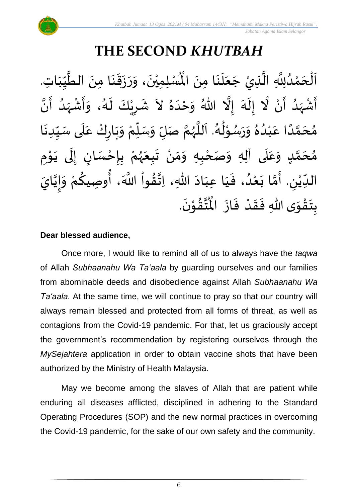## **THE SECOND** *KHUTBAH*

 $\frac{1}{2}$ ن<br>ا اَلْحَمْدُلِلَّهِ الَّذِيْ جَعَلَنَا مِنَ الْمُسْلِمِيْنَ، وَرَزَقَنَا مِنَ الطَّيِّبَاتِ و<br>ا ْ  $\overline{\phantom{a}}$ ֦֧֦֧֦֧֦֧֦֧֦֦֜֜֜֜֓֓֟֓֟֓֟֓֟֓֟֓֟֓֕֓֕֓֕֟֓<br>֧֝֜֜**֓**֓֡֘  $\overline{\phantom{a}}$  $\frac{1}{1}$ しんこ ِّسِ ن<br>م  $\ddot{\phantom{0}}$  $\ddot{\phantom{0}}$  $\frac{1}{2}$  $\ddot{\cdot}$  $\ddot{\phantom{0}}$  $\tilde{\cdot}$  $\ddot{\phantom{0}}$ ់<br>**រ** الَّذِيْ جَعَلَنَا مِنَ الْمُسْلِمِيْنَ، وَرَزَقَنَا مِنَ الطَّيِّبَاتِ.  $\ddot{\phantom{0}}$  $\ddot{\phantom{0}}$ ِ<br>ا  $\frac{1}{2}$  $\ddot{\phantom{0}}$ ِ<br>الأ ِ<br>ا أَشْهَدُ أَنْ لَّا إِلَهَ إِلَّا اللّهُ وَحْدَهُ لاَ شَرِيْكَ لَهُ، وَأَشْهَدُ أَنَّ ْ ر<br>پنج ٍ<br>و  $\frac{1}{2}$ ْ ِ<br>پ ہ<br>ا ر<br>ح  $\tilde{\cdot}$  $\frac{1}{2}$ .<br>९<br>न  $\lambda$  $\frac{1}{2}$ ِ<br>ا  $\tilde{\cdot}$ َ -<br>پ ر<br>د  $\frac{1}{2}$ ْ  $\frac{1}{2}$  $\tilde{\cdot}$ ر<br>ر<br>ا  $\tilde{\mathbf{r}}$ ْ  $\overline{\phantom{a}}$  $\frac{1}{2}$ مُحَمَّدًا عَبْدُهُ وَرَسُوْلُهُ. اَللَّهُمَّ صَلِّ وَسَلِّمْ وَبَارِكْ عَلَى سَيِّدِنَا  $\ddot{\phantom{0}}$ ِّ しんこ ۔<br>آ  $\frac{1}{2}$ ْ  $\ddot{\phantom{0}}$  $\tilde{\cdot}$ ْ ِّبِّ  $\frac{1}{2}$  $\tilde{\cdot}$ ั้ง<br>≮ ر<br>ر<br>ر ر<br>ا َ و<br>گ  $\frac{1}{2}$ ֦֦֝<br>**֝** و<br>م  $\ddot{\phantom{0}}$  $\tilde{\cdot}$  $^{\circ}$ و<br>و ់<br>រ ِ<br>م ً<br>أ ี<br>ฉี  $\overline{\phantom{a}}$  $\frac{1}{2}$ مُحَمَّدٍ وَعَلَى آلِهِ وَصَحْبِهِ وَمَنْ تَبِعَهُمْ بِإِحْسَانٍ إِلَى يَوْمِ <u>ل</u> ี<br>ผ  $\overline{\phantom{a}}$  $\frac{1}{2}$  $\overline{\mathbf{r}}$ ً<br>م  $\tilde{\cdot}$ י<br>י ا<br>با<br>•  $\ddot{\phantom{0}}$ ل  $\frac{1}{2}$ ر<br>! ْ <u>د</u><br>-ْ ر<br>ر<br>ر  $\frac{1}{2}$  $\ddot{\phantom{0}}$ ْ  $\frac{1}{2}$ ์ $\frac{1}{2}$ ֦֧<u>֦</u> ٔ<br>ا الدِّيْنِ. أَمَّا بَعْدُ، فَيَا عِبَادَ اللّهِ، اِتَّقُواْ اللَّهَ، أُوصِيكُمْ وَإِيَّايَ ′<br>مو  $\frac{1}{2}$  $\ddot{\phantom{0}}$  $\frac{1}{1}$ َ  $\frac{1}{2}$ و<br>و ំ<br>រ  $\ddot{\ }$ ี<br>วั  $\frac{1}{2}$  $\overline{\phantom{a}}$ ْ  $\frac{1}{\sqrt{2}}$ َ !<br>-<br>- $\frac{1}{2}$ ِ<br>ْم <u>ل</u> ُ<br>پنج .  $\ddot{\phantom{0}}$ تقوْنَ ֦֧֝֝<br>**֧**  $\frac{9}{4}$ ِ<br>نُبلة<br>جو ُ<br>مو بِتَقْوَى اللّهِ فَقَدْ فَازَ الْمُ  $\ddot{\cdot}$  $\frac{1}{2}$ ْ  $\frac{1}{2}$  $\frac{1}{2}$  $\frac{1}{2}$ ֝֝֝֝֝<br>**֧**֝֟֟  $\ddot{\ }$  $\ddot{\cdot}$ 

#### **Dear blessed audience,**

Once more, I would like to remind all of us to always have the *taqwa* of Allah *Subhaanahu Wa Ta'aala* by guarding ourselves and our families from abominable deeds and disobedience against Allah *Subhaanahu Wa Ta'aala*. At the same time, we will continue to pray so that our country will always remain blessed and protected from all forms of threat, as well as contagions from the Covid-19 pandemic. For that, let us graciously accept the government's recommendation by registering ourselves through the *MySejahtera* application in order to obtain vaccine shots that have been authorized by the Ministry of Health Malaysia.

May we become among the slaves of Allah that are patient while enduring all diseases afflicted, disciplined in adhering to the Standard Operating Procedures (SOP) and the new normal practices in overcoming the Covid-19 pandemic, for the sake of our own safety and the community.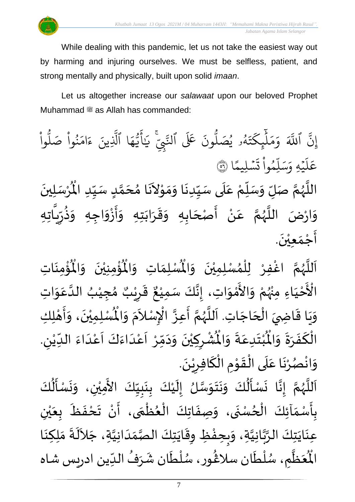While dealing with this pandemic, let us not take the easiest way out by harming and injuring ourselves. We must be selfless, patient, and strong mentally and physically, built upon solid *imaan*.

Let us altogether increase our *salawaat* upon our beloved Prophet Muhammad  $\stackrel{\text{\tiny def}}{=}$  as Allah has commanded:

ِ<br>په ِن ٱ إ ہ<br>آک للَّهَ وَمَلْيِكْتَهُ و<br>لھ  $\ddot{\phantom{0}}$ ت ر<br>م چکے<br>غ ِ<br>ا  $\uplambda$  $\frac{1}{2}$ بر<br>م  $\frac{1}{c}$ وَمَلَّيٖكَتَهُۥ يُصَلُّونَ عَلَى ون و<br>ا يُصَلُّونَ عَلَى ٱلنَّبِيِّ و<br>د لنَّبِّيّ يَالَّيُهَا ِ<br>م ه و<br>د سَ<br>ڊ ِ<br>ج  $\overline{\mathcal{L}}$ َٰ ِ يَاًيُّهَا ٱلَّذِينَ یہ<br>۱ لَّذِينَ ءَامَنُوا صَلُوا ْ و<br>ا نُواْ صَلُّ <u>ہ</u><br>ا ُو  $\frac{1}{2}$ ام  $\tilde{\epsilon}$ ء ا  $\frac{2}{3}$ ن*ش*ليمً  $\ddot{\phantom{0}}$  $\ddot{\cdot}$ ت ْ وا ِم و<br>م ء<br>آ ل ِ<br>م بر<br>سد ِ<br>م يَّهِ وَ<sub>َ</sub>  $\ddot{\phantom{0}}$ ر<br>آ عَلَيْهِ وَسَلِّمُواْ تَسْلِيمًا ۞ اللَّهُمَّ صَلِّ وَسَلِّمْ عَلَى سَيِّدِنَا وَمَوْلاَنَا مُحَمَّدٍ سَيِّدِ الْمُرْسَلِينَ  $\ddot{\phantom{0}}$ ْ  $\ddot{\hat{}}$ للَّهُمَّ صَلِّ وَسَلِّمْ عَلَى سَيِّدِنَا وَمَوْلاَنَا مُحَمَّدٍ سَيِّدِ الْمُ ِّ  $\frac{1}{2}$ <u>لم</u> ี<br>ฉี  $\overline{\phantom{a}}$ )<br>ጎ  $\tilde{\mathbf{r}}$  $\sim$ ֦֝<br>֝**֝**  $\frac{1}{2}$  $\frac{1}{2}$  $\ddot{\phantom{0}}$  $\frac{1}{2}$ سطح<br>ا .<br>م ْ ِ<br>پ  $\overline{r}$  $\frac{1}{2}$ ี่<br>∕ี و<br>ر<br>ر ہ<br>آ ْ وَارْضَ اللَّهُمَّ عَنْ أَصْحَابِهِ وَقَرَابَتِهِ وَأَزْوَاجِهِ وَذُرِّيَّاتِهِ  $\frac{1}{2}$ تا .<br>ਹ  $\frac{1}{2}$ ر ا<br>باد<br>•  $\frac{1}{2}$  $\tilde{\cdot}$ ،<br>ڊ —<br>:<br>:  $\frac{1}{2}$  $\ddot{\phantom{0}}$  $\frac{1}{2}$  $\frac{1}{2}$  $\frac{1}{2}$ َ با<br>ج ْ َ<br>م ี<br>ั∕ ر<br>ر<br>ر ्<br>न<br>1  $\ddot{\phantom{0}}$ أَجْمَعِيْنَ. ْ  $\frac{1}{2}$ ֦֧֦֧֦֧<u>֦</u> ا<br>پنج

ؙۊؙٝڡؚڹؘٵتؚ  $\ddot{\phantom{0}}$ ់<br>: ُْ ُؤْمِنِيْنَ ۖ وَالْمُ  $\tilde{\cdot}$  $\ddot{\phantom{0}}$ ْ ់<br>:  $\mathbf{r}^{\circ}$ ِ<br>لْمُ*سْ*لِمَاتِ وَالْمُ  $\frac{1}{2}$  $\frac{1}{\sqrt{2}}$ ِ<br>اَللَّهُمَّ اغْفِرْ لِلْمُسْلِمِيْنَ وَالْمُ  $\frac{1}{2}$  $\ddot{\phantom{0}}$ ់<br>រ ,<br>ለ ֦֧֦֧֦֧֦֧֦֧֦֧֦֧֜֜֜֓֓<br>֧֝֜֜֜֜֜֜֜֜֜֜֜֜֜֜֞֟ ْ ั้<br>∕ิ ر<br>ر<br>ر ِ<br>آ  $\mathbf{r}$ ـــ<br>م<br>م الْأَحْيَاءِ مِنْهُمْ وَالأَمْوَاتِ، إِنَّكَ سَمِيْعٌ قَرِيْبٌ مُجِيْبُ الدَّ َ ֦֧֦֧֦֧<u>֦</u> ْ بو<br>زر ់<br>•  $\frac{1}{2}$ י<br>ה ں<br>ج  $\frac{1}{2}$ ہ<br>ا ُ ْ ๋<br>ጎ ه<br>د ا قَرِرْ  $\overline{\phantom{a}}$  $\frac{1}{2}$ ٌ ، إِنَّكَ سَمِيْعٌ قَرِيْبٌ مُجِيْبُ الدَّعَوَاتِ ْ  $\frac{1}{2}$  $\ddot{\ }$ .<br>م وَيَا قَاضِيَ الْحَاجَاتِ. اَللَّهُمَّ أَعِزَّ الْإِسْلاَمَ وَ  $\overline{\phantom{a}}$ ֦֧֦֧֦֧֦֧֦֧֦֧֦֧֦֧֦֧֟֓֓֓֟֓֟֓<br>**֡**  $\overline{a}$ ֦֧֦֝֝<br>֧֦֦֦֝֝֝֝֝֝֝֝֝֝֝֝֝֝֝֝֝֝<br>֧֝֝֝֝֝**֟**  $\frac{1}{2}$  $\frac{1}{2}$ ر<br>آ ر<br>آ و<br>ر<br>ر ี<br>∕ี —<br>:<br>: ្ ا<br>م  $\tilde{\zeta}$ .<br>د  $\tilde{\cdot}$  $\ddot{\hat{}}$ الْمُمْلِمِيْنَ، وَأَهْلِكِ ا<br>م ْ ي  $\ddot{\phantom{0}}$  $\overline{1}$ י<br>**י** ا<br>با  $\tilde{\cdot}$ . ڔ ُشْرِكِيْنَ وَدَمِّرْ أَعْدَاءَكَ أَعْدَاءَ اللدِّيْنِ ْ ِّ  $\frac{1}{2}$ ا<br>ا<br>ا ۔<br>م ۔<br>آ َ<br>و  $\frac{1}{2}$ ا<br>-<br>ا ْ ا<br>ا<br>ا ّ<br>ا<br>ا ້ $\frac{1}{2}$  $\sim$  $\tilde{\phantom{a}}$  $\ddot{\phantom{0}}$ ំ<br><sup>•</sup>  $\frac{1}{2}$ ْ  $\ddot{\text{r}}$ ُبْتَدِعَةً وَالْمُ  $\frac{1}{2}$  $\frac{1}{2}$ .<br>م  $\ddot{\ }$ ٝ<br>ْ  $\ddot{\bm{r}}$ الْكَفَرَةَ وَالْمُ ์ $\tilde{\cdot}$  $\frac{1}{2}$  $\frac{1}{2}$  $\ddot{\cdot}$ ์<br>-<br>-بــز<br>1 .  $\ddot{\phantom{0}}$ وَانْصُرْنَا عَلَى الْقَوْمِ الْكَافِرِيْنَ ٝ<br>ٔ  $\frac{1}{2}$ ์<br>้ ّ<br>أ  $\frac{1}{2}$ ֦֦֝<br>**֝**  $\frac{1}{2}$ ْ<br>ا  $\overline{\phantom{a}}$ .<br>م  $\ddot{\phantom{0}}$ ۠<br>۠ **ہ** ْ  $\tilde{\phantom{a}}$ 

رَ مَسْأَلُكَ وَنَتَوَسَّلُ إِلَيْكَ بِنَبِيِّكَ الأَمِيْنِ، وَنَسْأَلُكَ  $\vec{r}$  $\ddot{\cdot}$ لة<br>•  $\frac{1}{2}$ ั้ง<br>≮ و<br>ر ہ<br>آ ्<br>। ِّ しんけい ا<br>با  $\ddot{\phantom{0}}$  $\ddot{\cdot}$ ំ<br>រ  $\tilde{\mathbf{r}}$  $\frac{1}{2}$ لة<br>ما<br>مرا  $\frac{1}{2}$  $\ddot{\phantom{0}}$  $\ddot{\phantom{0}}$  $\frac{1}{2}$ ُمُ<br>اُ∱  $\frac{1}{2}$ َ<br>ج ُ<br>الج  $\frac{1}{2}$  $\ddot{\phantom{0}}$  $\frac{1}{2}$ ْ  $\ddot{\phantom{0}}$ .<br>بِأَسْمَآئِكَ الْحُسْنَى، وَصِفَاتِكَ الْعُظُمَى، أَنْ تَحْفَظَ بِعَيْنِ و<br>ا ֦֧֦֧֦֧<br>֧  $\frac{1}{2}$  $\frac{1}{2}$ <u>د</u><br>: ر<br>م ֦֧֦֧֦֧֦֧֦֧֦֧֦֧֦֧֦֧֦֧֦֧֦֧֦֧֝֟֓֓֓֓֟֓֓֟֓֓<br>**֧**  $\frac{1}{2}$ ֦֧֦֧֦֧֦֧֦֧֦֧֦֟֓<br>֧֝֜֜֜  $\ddot{\cdot}$  $\tilde{\cdot}$ ْ ي  $\frac{1}{2}$  $\frac{1}{\sqrt{2}}$  $\ddot{\cdot}$  $\frac{1}{2}$ ْ  $\sum_{i=1}^{n}$ ِ<br>عِنَايَتِكَ الرَّبَّانِيَّةِ، وَبِحِفْظِ وِقَايَتِكَ الصَّمَدَانِيَّةِ، جَلاَلَةَ مَلِكِنَا ن<br>ا بر<br>∙<br>◆ ہ<br>پ  $\ddot{\phantom{0}}$  $\ddot{\phantom{0}}$  $\sim$ َ  $\frac{1}{1}$  $\frac{1}{2}$ ر<br>ر<br>ر  $\ddot{\phantom{0}}$  $\frac{1}{2}$ ້<br>: ا<br>م  $\frac{1}{2}$  $\ddot{\cdot}$ ِ<br>الم  $\ddot{\phantom{0}}$  $\frac{1}{2}$  م ظ ع ر<br>پنج  $\frac{1}{2}$ بر<br>مو الْمُعَظَّمِ، سُلْطَان سلَاغُور، سُلْطَان شَرَفُ الدِّين ادريس شاه ر<br>م ة<br>أ و<br>م )<br>፟ ِّ ُ  $\mathbf{r}$ ا<br>م ់<br>( ر<br>ر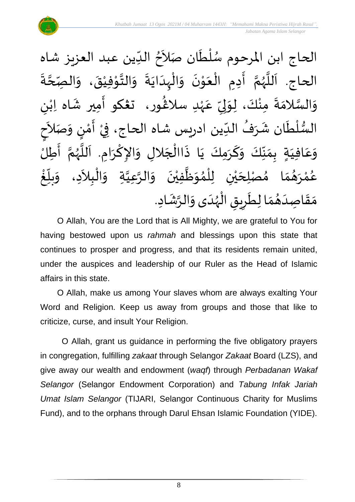$\lambda$ الحاج ابن المرحوم سُلْطَان صَلاَحُ الدِّين عبد العزيز شاه  $\ddot{\phantom{0}}$ ់<br>( و<br>ر  $\frac{1}{\sqrt{2}}$ ُ  $\ddot{\cdot}$ الحاج. اَللَّهُمَّ أَدِمِ الْعَوْنَ وَالْبِدَايَةَ وَالتَّوْفِيْقَ، وَالصِّحَّةَ ี<br>ี<br><br><br>  $\frac{1}{2}$  $\frac{1}{2}$ ់<br>រ י<br>י  $\frac{1}{2}$  $\frac{1}{2}$  $\ddot{\cdot}$  $\ddot{\phantom{0}}$ ا<br>ا ้<br>∤  $\frac{1}{2}$  $\ddot{\phantom{0}}$ ់<br>^ َ ْ  $\frac{1}{2}$ َ ั<br>∕ี و<br>ر **ء**<br>آ ،<br>آ ى<br>وَالسَّلامَةَ مِنْكَ، لِوَلِيِّ عَهْدِ سلاڠُورِ، تَعْكُو أَمِيرِ شَاه اِبْنِ ٝ<br>ْ .<br>م ِّ  $\frac{1}{2}$ ل  $\frac{1}{2}$ ْ  $\ddot{ }$  $\frac{1}{2}$ لة<br>ما<br>م  $\frac{1}{2}$ }<br>፟**፟** ٝ<br>ؙ  $\frac{1}{2}$ َ السُّلْطَان شَرَفُ الدِّين ادريس شاه الحاج، فِيْ أَمْنٍ وَ، ــ<br>ٌ ُ  $\frac{1}{2}$ َ<br>ا ٝ<br>أ ل ر<br>سر<br>سر  $\frac{1}{2}$ ْ ्<br>र الأ صَ  $\ddot{\ }$ )<br>إ י<br>י  $\sum_{i=1}^{n}$ ।<br>इ م<br>ح<br>ح وَعَافِيَةٍ بِمَنَّكَ وَكَرَمِكَ يَا ذَاالْجَلالِ وَالإِكْرَامِ. اَللَّهُمَّ أَطِلُ ا<br>:<br>: ี<br>จ .<br>ر<br>ر ءِ<br>آ َ  $\ddot{\phantom{0}}$ ْ  $\frac{1}{2}$  $\overline{\phantom{a}}$ ا<br>أ  $\ddot{\cdot}$  $\ddot{\phantom{0}}$ َ  $\frac{1}{2}$  $\frac{\nu}{\sqrt{2}}$  $\frac{1}{2}$  $\frac{1}{2}$  $\frac{1}{2}$ َ .<br>م  $\frac{1}{2}$  $\sim$ الْبِلاَدِ، وَ ֦֧֦֧֦֧֝<u>֦</u> ا<br>ا<br>م .<br>ا مُصْلِحَيْنِ لِلْمُوَظَّفِيْنَ وَالرَّعِيَّةِ وَ ن<br>ا ہ<br>پ ์ $\overline{\phantom{a}}$  $\ddot{\phantom{0}}$ ់<br>រ ہ<br>ا  $\frac{1}{2}$ ُ<br>አ ់<br>ព្ ْ ي  $\overline{\phantom{a}}$ )<br>ጎ  $\frac{1}{2}$ م  $\frac{1}{2}$ و<br>ها رَ **ٔ** ه<br>لم و<br>م و<br>ڪ ້<br>.<br>. غ ِّ<br>ا  $\sum_{i=1}^{n}$ بلاً  $\frac{1}{2}$ مَقَاصِدَهُمَا لِطَرِيقِ الْهُدَى وَالرَّشَادِ. joy  $\sum$  $\frac{1}{\epsilon}$  $\frac{1}{2}$  $\frac{1}{2}$  $\frac{1}{1}$  $\frac{1}{2}$  $\frac{1}{2}$ م<br>م ر<br>ر<br>ر ֦֧֦֧֦֧֦֧֦֧֦֜֜֜֜֜֜֜<br>֧֝֜֜ ្រ  $\tilde{\cdot}$ 

O Allah, You are the Lord that is All Mighty, we are grateful to You for having bestowed upon us *rahmah* and blessings upon this state that continues to prosper and progress, and that its residents remain united, under the auspices and leadership of our Ruler as the Head of Islamic affairs in this state.

O Allah, make us among Your slaves whom are always exalting Your Word and Religion. Keep us away from groups and those that like to criticize, curse, and insult Your Religion.

O Allah, grant us guidance in performing the five obligatory prayers in congregation, fulfilling *zakaat* through Selangor *Zakaat* Board (LZS), and give away our wealth and endowment (*waqf*) through *Perbadanan Wakaf Selangor* (Selangor Endowment Corporation) and *Tabung Infak Jariah Umat Islam Selangor* (TIJARI, Selangor Continuous Charity for Muslims Fund), and to the orphans through Darul Ehsan Islamic Foundation (YIDE).

8